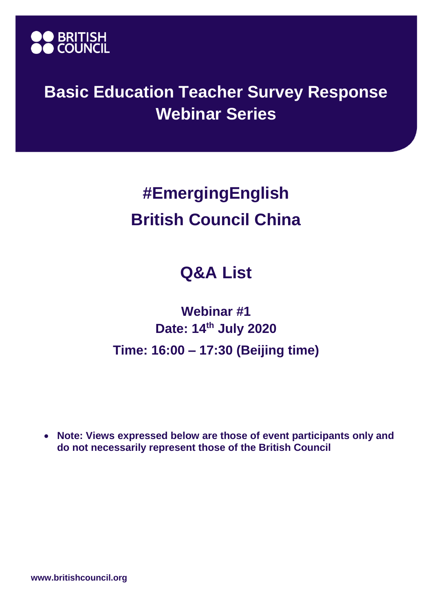

## **Basic Education Teacher Survey Response Webinar Series**

## **#EmergingEnglish British Council China**

## **Q&A List**

## **Webinar #1 Date: 14th July 2020 Time: 16:00 – 17:30 (Beijing time)**

• **Note: Views expressed below are those of event participants only and do not necessarily represent those of the British Council**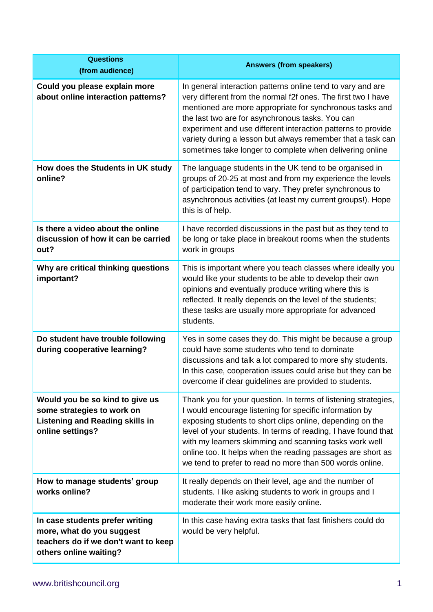| <b>Questions</b><br>(from audience)                                                                                            | <b>Answers (from speakers)</b>                                                                                                                                                                                                                                                                                                                                                                                                                |
|--------------------------------------------------------------------------------------------------------------------------------|-----------------------------------------------------------------------------------------------------------------------------------------------------------------------------------------------------------------------------------------------------------------------------------------------------------------------------------------------------------------------------------------------------------------------------------------------|
| Could you please explain more<br>about online interaction patterns?                                                            | In general interaction patterns online tend to vary and are<br>very different from the normal f2f ones. The first two I have<br>mentioned are more appropriate for synchronous tasks and<br>the last two are for asynchronous tasks. You can<br>experiment and use different interaction patterns to provide<br>variety during a lesson but always remember that a task can<br>sometimes take longer to complete when delivering online       |
| How does the Students in UK study<br>online?                                                                                   | The language students in the UK tend to be organised in<br>groups of 20-25 at most and from my experience the levels<br>of participation tend to vary. They prefer synchronous to<br>asynchronous activities (at least my current groups!). Hope<br>this is of help.                                                                                                                                                                          |
| Is there a video about the online<br>discussion of how it can be carried<br>out?                                               | I have recorded discussions in the past but as they tend to<br>be long or take place in breakout rooms when the students<br>work in groups                                                                                                                                                                                                                                                                                                    |
| Why are critical thinking questions<br>important?                                                                              | This is important where you teach classes where ideally you<br>would like your students to be able to develop their own<br>opinions and eventually produce writing where this is<br>reflected. It really depends on the level of the students;<br>these tasks are usually more appropriate for advanced<br>students.                                                                                                                          |
| Do student have trouble following<br>during cooperative learning?                                                              | Yes in some cases they do. This might be because a group<br>could have some students who tend to dominate<br>discussions and talk a lot compared to more shy students.<br>In this case, cooperation issues could arise but they can be<br>overcome if clear guidelines are provided to students.                                                                                                                                              |
| Would you be so kind to give us<br>some strategies to work on<br><b>Listening and Reading skills in</b><br>online settings?    | Thank you for your question. In terms of listening strategies,<br>I would encourage listening for specific information by<br>exposing students to short clips online, depending on the<br>level of your students. In terms of reading, I have found that<br>with my learners skimming and scanning tasks work well<br>online too. It helps when the reading passages are short as<br>we tend to prefer to read no more than 500 words online. |
| How to manage students' group<br>works online?                                                                                 | It really depends on their level, age and the number of<br>students. I like asking students to work in groups and I<br>moderate their work more easily online.                                                                                                                                                                                                                                                                                |
| In case students prefer writing<br>more, what do you suggest<br>teachers do if we don't want to keep<br>others online waiting? | In this case having extra tasks that fast finishers could do<br>would be very helpful.                                                                                                                                                                                                                                                                                                                                                        |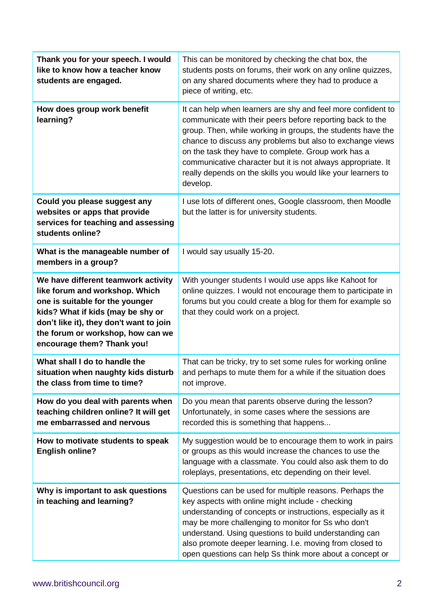| Thank you for your speech. I would<br>like to know how a teacher know<br>students are engaged.                                                                                                                                                              | This can be monitored by checking the chat box, the<br>students posts on forums, their work on any online quizzes,<br>on any shared documents where they had to produce a<br>piece of writing, etc.                                                                                                                                                                                                                                                      |
|-------------------------------------------------------------------------------------------------------------------------------------------------------------------------------------------------------------------------------------------------------------|----------------------------------------------------------------------------------------------------------------------------------------------------------------------------------------------------------------------------------------------------------------------------------------------------------------------------------------------------------------------------------------------------------------------------------------------------------|
| How does group work benefit<br>learning?                                                                                                                                                                                                                    | It can help when learners are shy and feel more confident to<br>communicate with their peers before reporting back to the<br>group. Then, while working in groups, the students have the<br>chance to discuss any problems but also to exchange views<br>on the task they have to complete. Group work has a<br>communicative character but it is not always appropriate. It<br>really depends on the skills you would like your learners to<br>develop. |
| Could you please suggest any<br>websites or apps that provide<br>services for teaching and assessing<br>students online?                                                                                                                                    | I use lots of different ones, Google classroom, then Moodle<br>but the latter is for university students.                                                                                                                                                                                                                                                                                                                                                |
| What is the manageable number of<br>members in a group?                                                                                                                                                                                                     | I would say usually 15-20.                                                                                                                                                                                                                                                                                                                                                                                                                               |
| We have different teamwork activity<br>like forum and workshop. Which<br>one is suitable for the younger<br>kids? What if kids (may be shy or<br>don't like it), they don't want to join<br>the forum or workshop, how can we<br>encourage them? Thank you! | With younger students I would use apps like Kahoot for<br>online quizzes. I would not encourage them to participate in<br>forums but you could create a blog for them for example so<br>that they could work on a project.                                                                                                                                                                                                                               |
| What shall I do to handle the<br>situation when naughty kids disturb<br>the class from time to time?                                                                                                                                                        | That can be tricky, try to set some rules for working online<br>and perhaps to mute them for a while if the situation does<br>not improve.                                                                                                                                                                                                                                                                                                               |
| How do you deal with parents when<br>teaching children online? It will get<br>me embarrassed and nervous                                                                                                                                                    | Do you mean that parents observe during the lesson?<br>Unfortunately, in some cases where the sessions are<br>recorded this is something that happens                                                                                                                                                                                                                                                                                                    |
| How to motivate students to speak<br><b>English online?</b>                                                                                                                                                                                                 | My suggestion would be to encourage them to work in pairs<br>or groups as this would increase the chances to use the<br>language with a classmate. You could also ask them to do<br>roleplays, presentations, etc depending on their level.                                                                                                                                                                                                              |
| Why is important to ask questions<br>in teaching and learning?                                                                                                                                                                                              | Questions can be used for multiple reasons. Perhaps the<br>key aspects with online might include - checking<br>understanding of concepts or instructions, especially as it<br>may be more challenging to monitor for Ss who don't<br>understand. Using questions to build understanding can<br>also promote deeper learning. I.e. moving from closed to<br>open questions can help Ss think more about a concept or                                      |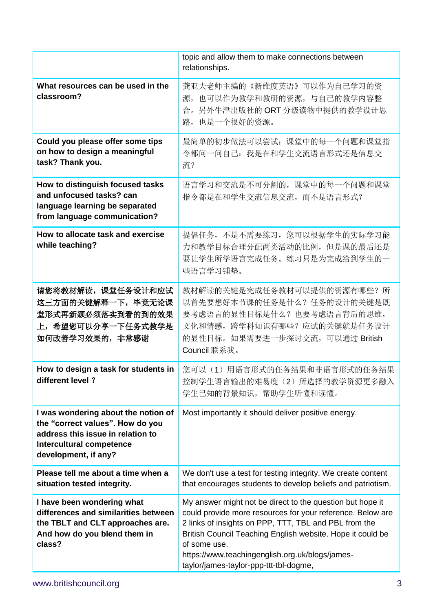|                                                                                                                                                                         | topic and allow them to make connections between<br>relationships.                                                                                                                                                                                                                                                                                          |
|-------------------------------------------------------------------------------------------------------------------------------------------------------------------------|-------------------------------------------------------------------------------------------------------------------------------------------------------------------------------------------------------------------------------------------------------------------------------------------------------------------------------------------------------------|
| What resources can be used in the<br>classroom?                                                                                                                         | 龚亚夫老师主编的《新维度英语》可以作为自己学习的资<br>源, 也可以作为教学和教研的资源, 与自己的教学内容整<br>合。另外牛津出版社的ORT分级读物中提供的教学设计思<br>路, 也是一个很好的资源。                                                                                                                                                                                                                                                     |
| Could you please offer some tips<br>on how to design a meaningful<br>task? Thank you.                                                                                   | 最简单的初步做法可以尝试: 课堂中的每一个问题和课堂指<br>令都问一问自己: 我是在和学生交流语言形式还是信息交<br>流?                                                                                                                                                                                                                                                                                             |
| How to distinguish focused tasks<br>and unfocused tasks? can<br>language learning be separated<br>from language communication?                                          | 语言学习和交流是不可分割的, 课堂中的每一个问题和课堂<br>指令都是在和学生交流信息交流, 而不是语言形式?                                                                                                                                                                                                                                                                                                     |
| How to allocate task and exercise<br>while teaching?                                                                                                                    | 提倡任务, 不是不需要练习, 您可以根据学生的实际学习能<br>力和教学目标合理分配两类活动的比例,但是课的最后还是<br>要让学生所学语言完成任务。练习只是为完成给到学生的一<br>些语言学习铺垫。                                                                                                                                                                                                                                                        |
| 请您将教材解读,课堂任务设计和应试<br>这三方面的关键解释一下,毕竟无论课<br>堂形式再新颖必须落实到看的到的效果<br>上,希望您可以分享一下任务式教学是<br>如何改善学习效果的, 非常感谢                                                                     | 教材解读的关键是完成任务教材可以提供的资源有哪些?所<br>以首先要想好本节课的任务是什么? 任务的设计的关键是既<br>要考虑语言的显性目标是什么?也要考虑语言背后的思维,<br>文化和情感, 跨学科知识有哪些? 应试的关键就是任务设计<br>的显性目标。如果需要进一步探讨交流,可以通过 British<br>Council 联系我。                                                                                                                                                                                   |
| How to design a task for students in<br>different level ?                                                                                                               | 您可以(1)用语言形式的任务结果和非语言形式的任务结果<br>控制学生语言输出的难易度(2)所选择的教学资源更多融入<br>学生已知的背景知识,帮助学生听懂和读懂。                                                                                                                                                                                                                                                                          |
| I was wondering about the notion of<br>the "correct values". How do you<br>address this issue in relation to<br><b>Intercultural competence</b><br>development, if any? | Most importantly it should deliver positive energy.                                                                                                                                                                                                                                                                                                         |
| Please tell me about a time when a<br>situation tested integrity.                                                                                                       | We don't use a test for testing integrity. We create content<br>that encourages students to develop beliefs and patriotism.                                                                                                                                                                                                                                 |
| I have been wondering what<br>differences and similarities between<br>the TBLT and CLT approaches are.<br>And how do you blend them in<br>class?                        | My answer might not be direct to the question but hope it<br>could provide more resources for your reference. Below are<br>2 links of insights on PPP, TTT, TBL and PBL from the<br>British Council Teaching English website. Hope it could be<br>of some use.<br>https://www.teachingenglish.org.uk/blogs/james-<br>taylor/james-taylor-ppp-ttt-tbl-dogme, |